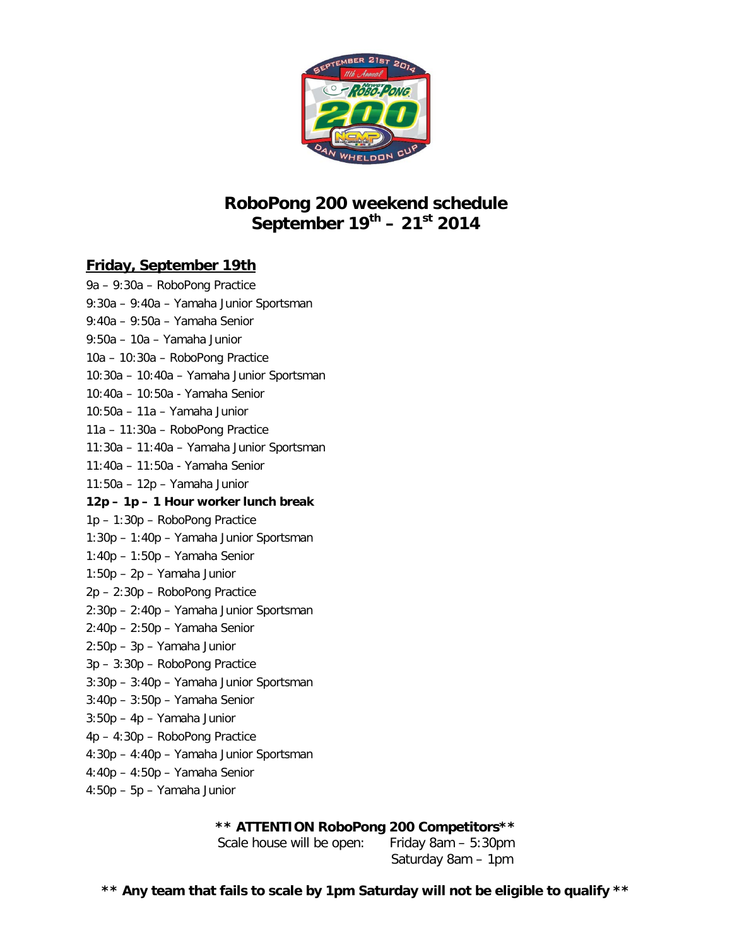

## **RoboPong 200 weekend schedule September 19th – 21st 2014**

## **Friday, September 19th**

9a – 9:30a – RoboPong Practice 9:30a – 9:40a – Yamaha Junior Sportsman 9:40a – 9:50a – Yamaha Senior 9:50a – 10a – Yamaha Junior 10a – 10:30a – RoboPong Practice 10:30a – 10:40a – Yamaha Junior Sportsman 10:40a – 10:50a - Yamaha Senior 10:50a – 11a – Yamaha Junior 11a – 11:30a – RoboPong Practice 11:30a – 11:40a – Yamaha Junior Sportsman 11:40a – 11:50a - Yamaha Senior 11:50a – 12p – Yamaha Junior **12p – 1p – 1 Hour worker lunch break** 1p – 1:30p – RoboPong Practice 1:30p – 1:40p – Yamaha Junior Sportsman 1:40p – 1:50p – Yamaha Senior 1:50p – 2p – Yamaha Junior 2p – 2:30p – RoboPong Practice 2:30p – 2:40p – Yamaha Junior Sportsman 2:40p – 2:50p – Yamaha Senior 2:50p – 3p – Yamaha Junior 3p – 3:30p – RoboPong Practice 3:30p – 3:40p – Yamaha Junior Sportsman 3:40p – 3:50p – Yamaha Senior 3:50p – 4p – Yamaha Junior 4p – 4:30p – RoboPong Practice 4:30p – 4:40p – Yamaha Junior Sportsman 4:40p – 4:50p – Yamaha Senior 4:50p – 5p – Yamaha Junior

**\*\* ATTENTION RoboPong 200 Competitors\*\***

Scale house will be open: Friday 8am – 5:30pm Saturday 8am – 1pm

**\*\* Any team that fails to scale by 1pm Saturday will not be eligible to qualify \*\***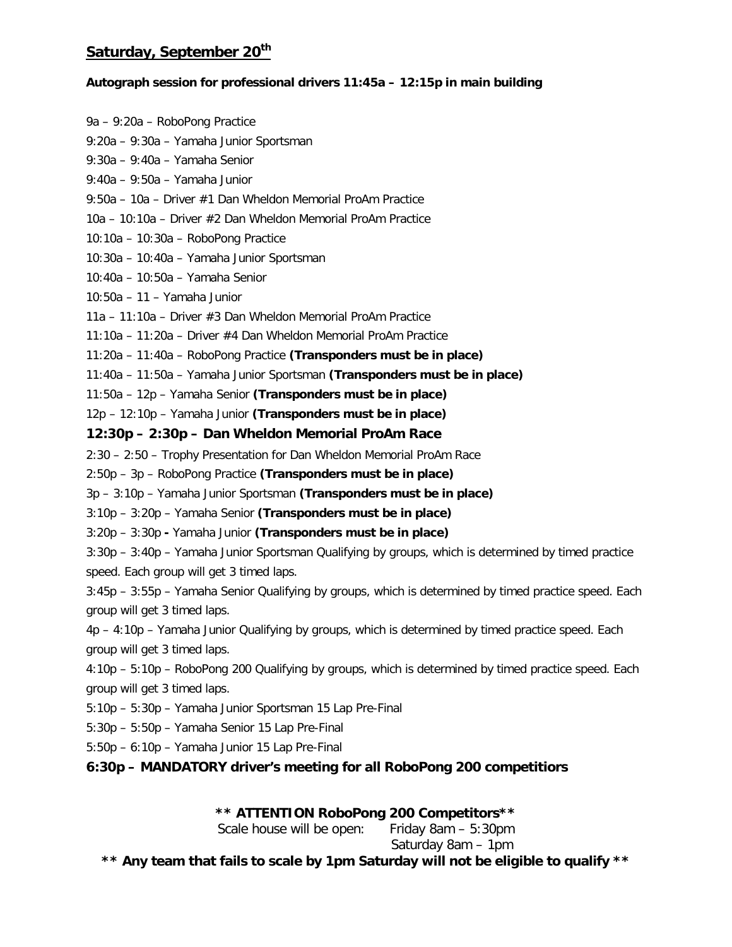### **Saturday, September 20th**

#### **Autograph session for professional drivers 11:45a – 12:15p in main building**

9a – 9:20a – RoboPong Practice 9:20a – 9:30a – Yamaha Junior Sportsman 9:30a – 9:40a – Yamaha Senior 9:40a – 9:50a – Yamaha Junior 9:50a – 10a – Driver #1 Dan Wheldon Memorial ProAm Practice 10a – 10:10a – Driver #2 Dan Wheldon Memorial ProAm Practice 10:10a – 10:30a – RoboPong Practice 10:30a – 10:40a – Yamaha Junior Sportsman 10:40a – 10:50a – Yamaha Senior 10:50a – 11 – Yamaha Junior 11a – 11:10a – Driver #3 Dan Wheldon Memorial ProAm Practice 11:10a – 11:20a – Driver #4 Dan Wheldon Memorial ProAm Practice 11:20a – 11:40a – RoboPong Practice **(Transponders must be in place)** 11:40a – 11:50a – Yamaha Junior Sportsman **(Transponders must be in place)** 11:50a – 12p – Yamaha Senior **(Transponders must be in place)** 12p – 12:10p – Yamaha Junior **(Transponders must be in place) 12:30p – 2:30p – Dan Wheldon Memorial ProAm Race** 2:30 – 2:50 – Trophy Presentation for Dan Wheldon Memorial ProAm Race 2:50p – 3p – RoboPong Practice **(Transponders must be in place)** 3p – 3:10p – Yamaha Junior Sportsman **(Transponders must be in place)** 3:10p – 3:20p – Yamaha Senior **(Transponders must be in place)** 3:20p – 3:30p **-** Yamaha Junior **(Transponders must be in place)** 3:30p – 3:40p – Yamaha Junior Sportsman Qualifying by groups, which is determined by timed practice speed. Each group will get 3 timed laps. 3:45p – 3:55p – Yamaha Senior Qualifying by groups, which is determined by timed practice speed. Each group will get 3 timed laps. 4p – 4:10p – Yamaha Junior Qualifying by groups, which is determined by timed practice speed. Each group will get 3 timed laps. 4:10p – 5:10p – RoboPong 200 Qualifying by groups, which is determined by timed practice speed. Each

group will get 3 timed laps.

5:10p – 5:30p – Yamaha Junior Sportsman 15 Lap Pre-Final

5:30p – 5:50p – Yamaha Senior 15 Lap Pre-Final

5:50p – 6:10p – Yamaha Junior 15 Lap Pre-Final

**6:30p – MANDATORY driver's meeting for all RoboPong 200 competitiors**

**\*\* ATTENTION RoboPong 200 Competitors\*\***

Scale house will be open: Friday 8am – 5:30pm

Saturday 8am – 1pm

**\*\* Any team that fails to scale by 1pm Saturday will not be eligible to qualify \*\***